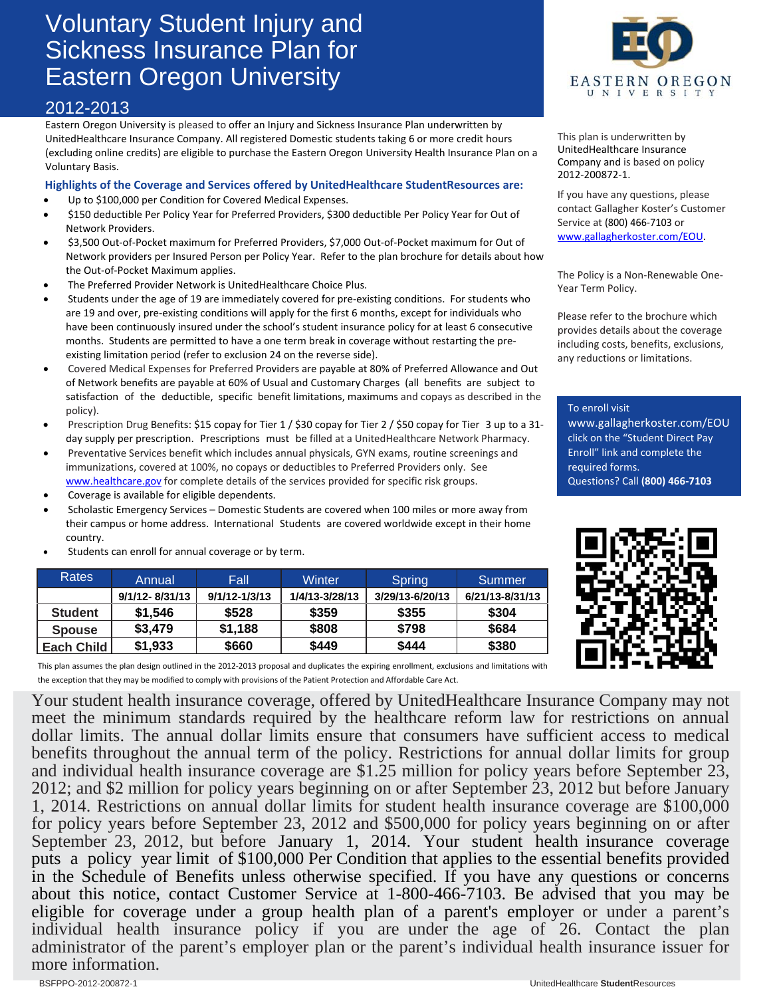## Voluntary Student Injury and Sickness Insurance Plan for Eastern Oregon University

## 2012-2013

Eastern Oregon University is pleased to offer an Injury and Sickness Insurance Plan underwritten by UnitedHealthcare Insurance Company. All registered Domestic students taking 6 or more credit hours (excluding online credits) are eligible to purchase the Eastern Oregon University Health Insurance Plan on a Voluntary Basis.

## **Highlights of the Coverage and Services offered by UnitedHealthcare StudentResources are:**

- Up to \$100,000 per Condition for Covered Medical Expenses.
- \$150 deductible Per Policy Year for Preferred Providers, \$300 deductible Per Policy Year for Out of Network Providers.
- \$3,500 Out‐of‐Pocket maximum for Preferred Providers, \$7,000 Out‐of‐Pocket maximum for Out of Network providers per Insured Person per Policy Year. Refer to the plan brochure for details about how the Out‐of‐Pocket Maximum applies.
- The Preferred Provider Network is UnitedHealthcare Choice Plus.
- Students under the age of 19 are immediately covered for pre‐existing conditions. For students who are 19 and over, pre-existing conditions will apply for the first 6 months, except for individuals who have been continuously insured under the school's student insurance policy for at least 6 consecutive months. Students are permitted to have a one term break in coverage without restarting the preexisting limitation period (refer to exclusion 24 on the reverse side).
- Covered Medical Expenses for Preferred Providers are payable at 80% of Preferred Allowance and Out of Network benefits are payable at 60% of Usual and Customary Charges (all benefits are subject to satisfaction of the deductible, specific benefit limitations, maximums and copays as described in the policy).
- Prescription Drug Benefits: \$15 copay for Tier 1 / \$30 copay for Tier 2 / \$50 copay for Tier 3 up to a 31day supply per prescription. Prescriptions must be filled at a UnitedHealthcare Network Pharmacy.
- Preventative Services benefit which includes annual physicals, GYN exams, routine screenings and immunizations, covered at 100%, no copays or deductibles to Preferred Providers only. See www.healthcare.gov for complete details of the services provided for specific risk groups.
- Coverage is available for eligible dependents.
- Scholastic Emergency Services Domestic Students are covered when 100 miles or more away from their campus or home address. International Students are covered worldwide except in their home country.
- Students can enroll for annual coverage or by term.

| <b>Rates</b>      | Annual             | Fall              | Winter         | <b>Spring</b>   | Summer          |
|-------------------|--------------------|-------------------|----------------|-----------------|-----------------|
|                   | $9/1/12 - 8/31/13$ | $9/1/12 - 1/3/13$ | 1/4/13-3/28/13 | 3/29/13-6/20/13 | 6/21/13-8/31/13 |
| <b>Student</b>    | \$1.546            | \$528             | \$359          | \$355           | \$304           |
| <b>Spouse</b>     | \$3,479            | \$1,188           | \$808          | \$798           | \$684           |
| <b>Each Child</b> | \$1,933            | \$660             | \$449          | \$444           | \$380           |

This plan assumes the plan design outlined in the 2012‐2013 proposal and duplicates the expiring enrollment, exclusions and limitations with the exception that they may be modified to comply with provisions of the Patient Protection and Affordable Care Act.

Your student health insurance coverage, offered by UnitedHealthcare Insurance Company may not meet the minimum standards required by the healthcare reform law for restrictions on annual dollar limits. The annual dollar limits ensure that consumers have sufficient access to medical benefits throughout the annual term of the policy. Restrictions for annual dollar limits for group and individual health insurance coverage are \$1.25 million for policy years before September 23, 2012; and \$2 million for policy years beginning on or after September 23, 2012 but before January 1, 2014. Restrictions on annual dollar limits for student health insurance coverage are \$100,000 for policy years before September 23, 2012 and \$500,000 for policy years beginning on or after September 23, 2012, but before January 1, 2014. Your student health insurance coverage puts a policy year limit of \$100,000 Per Condition that applies to the essential benefits provided in the Schedule of Benefits unless otherwise specified. If you have any questions or concerns about this notice, contact Customer Service at 1-800-466-7103. Be advised that you may be eligible for coverage under a group health plan of a parent's employer or under a parent's individual health insurance policy if you are under the age of 26. Contact the plan administrator of the parent's employer plan or the parent's individual health insurance issuer for more information.



This plan is underwritten by UnitedHealthcare Insurance Company and is based on policy 2012‐200872‐1.

If you have any questions, please contact Gallagher Koster's Customer Service at (800) 466‐7103 or www.gallagherkoster.com/EOU.

The Policy is a Non‐Renewable One‐ Year Term Policy.

Please refer to the brochure which provides details about the coverage including costs, benefits, exclusions, any reductions or limitations.

To enroll visit

www.gallagherkoster.com/EOU click on the "Student Direct Pay Enroll" link and complete the required forms. Questions? Call **(800) 466‐7103**